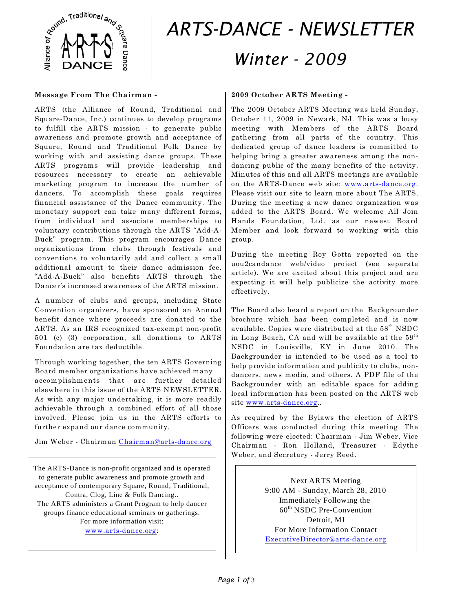

# *ARTS-DANCE - NEWSLETTER Winter - 2009*

## **Message From The Chairman -**

ARTS (the Alliance of Round, Traditional and Square-Dance, Inc.) continues to develop programs to fulfill the ARTS mission - to generate public awareness and promote growth and acceptance of Square, Round and Traditional Folk Dance by working with and assisting dance groups. These ARTS programs will provide leadership and resources necessary to create an achievable marketing program to increase the number of dancers. To accomplish these goals requires financial assistance of the Dance community. The monetary support can take many different forms, from individual and associate memberships to voluntary contributions through the ARTS "Add-A-Buck" program. This program encourages Dance organizations from clubs through festivals and conventions to voluntarily add and collect a small additional amount to their dance admission fee. "Add-A-Buck" also benefits ARTS through the Dancer's increased awareness of the ARTS mission.

A number of clubs and groups, including State Convention organizers, have sponsored an Annual benefit dance where proceeds are donated to the ARTS. As an IRS recognized tax-exempt non-profit 501 (c) (3) corporation, all donations to ARTS Foundation are tax deductible.

Through working together, the ten ARTS Governing Board member organizations have achieved many accomplishments that are further detailed elsewhere in this issue of the ARTS NEWSLETTER. As with any major undertaking, it is more readily achievable through a combined effort of all those involved. Please join us in the ARTS efforts to further expand our dance community.

Jim Weber - Chairman [Chairman@arts-dance.org](mailto:Chairman@arts-dance.org)

The ARTS-Dance is non-profit organized and is operated to generate public awareness and promote growth and acceptance of contemporary Square, Round, Traditional, Contra, Clog, Line & Folk Dancing.. The ARTS administers a Grant Program to help dancer groups finance educational seminars or gatherings. For more information visit: [www.arts-dance.org](http://www.arts-dance.org):

# **2009 October ARTS Meeting -**

The 2009 October ARTS Meeting was held Sunday, October 11, 2009 in Newark, NJ. This was a busy meeting with Members of the ARTS Board gathering from all parts of the country. This dedicated group of dance leaders is committed to helping bring a greater awareness among the nondancing public of the many benefits of the activity. Minutes of this and all ARTS meetings are available on the ARTS-Dance web site: [www.arts-dance.org](http://www.arts-dance.org). Please visit our site to learn more about The ARTS. During the meeting a new dance organization was added to the ARTS Board. We welcome All Join Hands Foundation, Ltd. as our newest Board Member and look forward to working with this group.

During the meeting Roy Gotta reported on the uou2candance web/video project (see separate article). We are excited about this project and are expecting it will help publicize the activity more effectively.

The Board also heard a report on the Backgrounder brochure which has been completed and is now available. Copies were distributed at the  $58^{\text{th}}$  NSDC in Long Beach, CA and will be available at the  $59<sup>th</sup>$ NSDC in Louisville, KY in June 2010. The Backgrounder is intended to be used as a tool to help provide information and publicity to clubs, nondancers, news media, and others. A PDF file of the Backgrounder with an editable space for adding local information has been posted on the ARTS web site [www.arts-dance.org](http://www.arts-dance.org)..

As required by the Bylaws the election of ARTS Officers was conducted during this meeting. The following were elected: Chairman - Jim Weber, Vice Chairman - Ron Holland, Treasurer - Edythe Weber, and Secretary - Jerry Reed.

> Next ARTS Meeting 9:00 AM - Sunday, March 28, 2010 Immediately Following the  $60<sup>th</sup>$  NSDC Pre-Convention Detroit, MI For More Information Contact [ExecutiveDirector@arts-dance.org](mailto:ExecutiveDirector@arts-dance.org)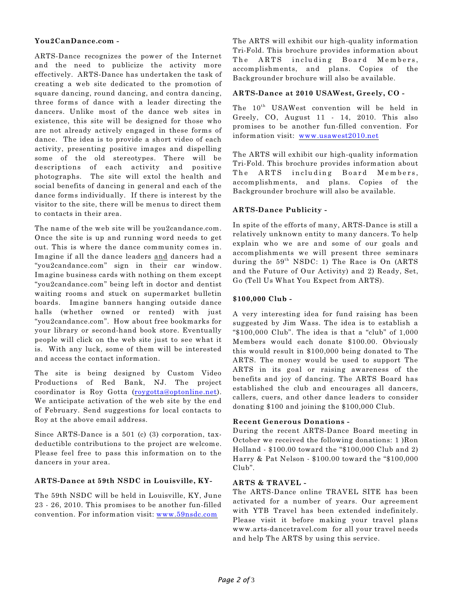## **You2CanDance.com -**

ARTS-Dance recognizes the power of the Internet and the need to publicize the activity more effectively. ARTS-Dance has undertaken the task of creating a web site dedicated to the promotion of square dancing, round dancing, and contra dancing, three forms of dance with a leader directing the dancers. Unlike most of the dance web sites in existence, this site will be designed for those who are not already actively engaged in these forms of dance. The idea is to provide a short video of each activity, presenting positive images and dispelling some of the old stereotypes. There will be descriptions of each activity and positive photographs. The site will extol the health and social benefits of dancing in general and each of the dance forms individually. If there is interest by the visitor to the site, there will be menus to direct them to contacts in their area.

The name of the web site will be you2candance.com. Once the site is up and running word needs to get out. This is where the dance community comes in. Imagine if all the dance leaders and dancers had a "you2candance.com" sign in their car window. Imagine business cards with nothing on them except "you2candance.com" being left in doctor and dentist waiting rooms and stuck on supermarket bulletin boards. Imagine banners hanging outside dance halls (whether owned or rented) with just "you2candance.com". How about free bookmarks for your library or second-hand book store. Eventually people will click on the web site just to see what it is. With any luck, some of them will be interested and access the contact information.

The site is being designed by Custom Video Productions of Red Bank, NJ. The project coordinator is Roy Gotta ([roygotta@optonline.net](mailto:roygotta@optonline.net)). We anticipate activation of the web site by the end of February. Send suggestions for local contacts to Roy at the above email address.

Since ARTS-Dance is a 501 (c) (3) corporation, taxdeductible contributions to the project are welcome. Please feel free to pass this information on to the dancers in your area.

## **ARTS-Dance at 59th NSDC in Louisville, KY-**

The 59th NSDC will be held in Louisville, KY, June 23 - 26, 2010. This promises to be another fun-filled convention. For information visit: [www.59nsdc.com](http://www.59nsdc.com)

The ARTS will exhibit our high-quality information Tri-Fold. This brochure provides information about The ARTS including Board Members, accomplishments, and plans. Copies of the Backgrounder brochure will also be available.

#### **ARTS-Dance at 2010 USAWest, Greely, CO -**

The 10<sup>th</sup> USAWest convention will be held in Greely, CO, August 11 - 14, 2010. This also promises to be another fun-filled convention. For information visit: [www.usawest2010.net](http://Www.usawest2010.net)

The ARTS will exhibit our high-quality information Tri-Fold. This brochure provides information about The ARTS including Board Members, accomplishments, and plans. Copies of the Backgrounder brochure will also be available.

## **ARTS-Dance Publicity -**

In spite of the efforts of many, ARTS-Dance is still a relatively unknown entity to many dancers. To help explain who we are and some of our goals and accomplishments we will present three seminars during the  $59<sup>th</sup>$  NSDC: 1) The Race is On (ARTS and the Future of Our Activity) and 2) Ready, Set, Go (Tell Us What You Expect from ARTS).

## **\$100,000 Club -**

A very interesting idea for fund raising has been suggested by Jim Wass. The idea is to establish a "\$100,000 Club". The idea is that a "club" of 1,000 Members would each donate \$100.00. Obviously this would result in \$100,000 being donated to The ARTS. The money would be used to support The ARTS in its goal or raising awareness of the benefits and joy of dancing. The ARTS Board has established the club and encourages all dancers, callers, cuers, and other dance leaders to consider donating \$100 and joining the \$100,000 Club.

#### **Recent Generous Donations -**

During the recent ARTS-Dance Board meeting in October we received the following donations: 1 )Ron Holland - \$100.00 toward the "\$100,000 Club and 2) Harry & Pat Nelson - \$100.00 toward the "\$100,000 Club".

## **ARTS & TRAVEL -**

The ARTS-Dance online TRAVEL SITE has been activated for a number of years. Our agreement with YTB Travel has been extended indefinitely. Please visit it before making your travel plans www.arts-dancetravel.com for all your travel needs and help The ARTS by using this service.